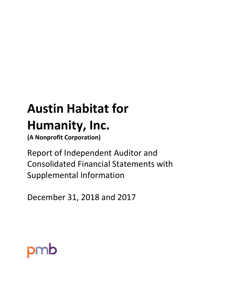# **Austin Habitat for Humanity, Inc.**

**(A Nonprofit Corporation)**

Report of Independent Auditor and Consolidated Financial Statements with Supplemental Information

December 31, 2018 and 2017

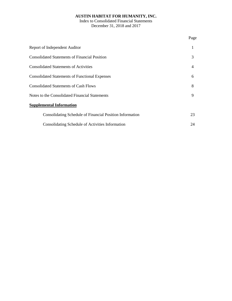Index to Consolidated Financial Statements December 31, 2018 and 2017

|                                                          | Page           |
|----------------------------------------------------------|----------------|
| Report of Independent Auditor                            | 1              |
| <b>Consolidated Statements of Financial Position</b>     | 3              |
| <b>Consolidated Statements of Activities</b>             | $\overline{4}$ |
| <b>Consolidated Statements of Functional Expenses</b>    | 6              |
| <b>Consolidated Statements of Cash Flows</b>             | 8              |
| Notes to the Consolidated Financial Statements           | 9              |
| <b>Supplemental Information</b>                          |                |
| Consolidating Schedule of Financial Position Information | 23             |
| Consolidating Schedule of Activities Information         | 24             |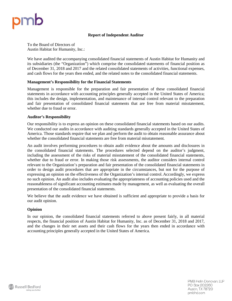

#### **Report of Independent Auditor**

To the Board of Directors of Austin Habitat for Humanity, Inc.:

We have audited the accompanying consolidated financial statements of Austin Habitat for Humanity and its subsidiaries (the "Organization") which comprise the consolidated statements of financial position as of December 31, 2018 and 2017 and the related consolidated statements of activities, functional expenses, and cash flows for the years then ended, and the related notes to the consolidated financial statements.

#### **Management's Responsibility for the Financial Statements**

Management is responsible for the preparation and fair presentation of these consolidated financial statements in accordance with accounting principles generally accepted in the United States of America; this includes the design, implementation, and maintenance of internal control relevant to the preparation and fair presentation of consolidated financial statements that are free from material misstatement, whether due to fraud or error.

#### **Auditor's Responsibility**

Our responsibility is to express an opinion on these consolidated financial statements based on our audits. We conducted our audits in accordance with auditing standards generally accepted in the United States of America. Those standards require that we plan and perform the audit to obtain reasonable assurance about whether the consolidated financial statements are free from material misstatement.

An audit involves performing procedures to obtain audit evidence about the amounts and disclosures in the consolidated financial statements. The procedures selected depend on the auditor's judgment, including the assessment of the risks of material misstatement of the consolidated financial statements, whether due to fraud or error. In making those risk assessments, the auditor considers internal control relevant to the Organization's preparation and fair presentation of the consolidated financial statements in order to design audit procedures that are appropriate in the circumstances, but not for the purpose of expressing an opinion on the effectiveness of the Organization's internal control. Accordingly, we express no such opinion. An audit also includes evaluating the appropriateness of accounting policies used and the reasonableness of significant accounting estimates made by management, as well as evaluating the overall presentation of the consolidated financial statements.

We believe that the audit evidence we have obtained is sufficient and appropriate to provide a basis for our audit opinion.

#### **Opinion**

In our opinion, the consolidated financial statements referred to above present fairly, in all material respects, the financial position of Austin Habitat for Humanity, Inc. as of December 31, 2018 and 2017, and the changes in their net assets and their cash flows for the years then ended in accordance with accounting principles generally accepted in the United States of America.

> PMB Helin Donovan, LLP PO Box 202260 Austin, TX 78720 pmbhd.com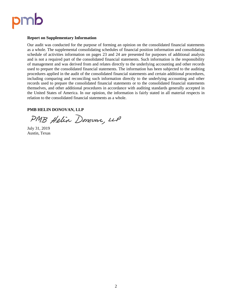

#### **Report on Supplementary Information**

Our audit was conducted for the purpose of forming an opinion on the consolidated financial statements as a whole. The supplemental consolidating schedules of financial position information and consolidating schedule of activities information on pages 23 and 24 are presented for purposes of additional analysis and is not a required part of the consolidated financial statements. Such information is the responsibility of management and was derived from and relates directly to the underlying accounting and other records used to prepare the consolidated financial statements. The information has been subjected to the auditing procedures applied in the audit of the consolidated financial statements and certain additional procedures, including comparing and reconciling such information directly to the underlying accounting and other records used to prepare the consolidated financial statements or to the consolidated financial statements themselves, and other additional procedures in accordance with auditing standards generally accepted in the United States of America. In our opinion, the information is fairly stated in all material respects in relation to the consolidated financial statements as a whole.

#### **PMB HELIN DONOVAN, LLP**

PMB Helin Donovan, LLP

July 31, 2019 Austin, Texas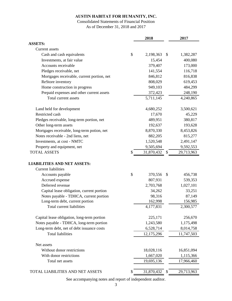# Consolidated Statements of Financial Position As of December 31, 2018 and 2017

|                                             | 2018             | 2017             |
|---------------------------------------------|------------------|------------------|
| <b>ASSETS:</b>                              |                  |                  |
| <b>Current</b> assets                       |                  |                  |
| Cash and cash equivalents                   | \$<br>2,198,363  | \$<br>1,382,287  |
| Investments, at fair value                  | 15,454           | 400,080          |
| Accounts receivable                         | 379,407          | 173,000          |
| Pledges receivable, net                     | 141,554          | 116,718          |
| Mortgages receivable, current portion, net  | 846,812          | 816,838          |
| ReStore inventory                           | 808,029          | 619,453          |
| Home construction in progress               | 949,103          | 484,299          |
| Prepaid expenses and other current assets   | 372,423          | 248,190          |
| Total current assets                        | 5,711,145        | 4,240,865        |
| Land held for development                   | 4,680,252        | 3,500,621        |
| Restricted cash                             | 17,670           | 45,229           |
| Pledges receivable, long-term portion, net  | 489,951          | 380,817          |
| Other long-term assets                      | 192,637          | 193,628          |
| Mortgages receivable, long-term potion, net | 8,870,330        | 8,453,826        |
| Notes receivable - 2nd liens, net           | 882,205          | 815,277          |
| Investments, at cost - NMTC                 | 1,520,548        | 2,491,147        |
| Property and equipment, net                 | 9,505,694        | 9,592,553        |
| <b>TOTAL ASSETS</b>                         | \$<br>31,870,432 | \$<br>29,713,963 |
| <b>LIABILITIES AND NET ASSETS:</b>          |                  |                  |
| <b>Current liabilities</b>                  |                  |                  |
| Accounts payable                            | \$<br>370,556    | \$<br>456,738    |
| Accrued expense                             | 807,931          | 539,353          |
| Deferred revenue                            | 2,703,768        | 1,027,101        |
| Capital lease obligation, current portion   | 34,262           | 33,251           |
| Notes payable - TDHCA, current portion      | 98,316           | 87,149           |
| Long-term debt, current portion             | 162,998          | 156,985          |
| Total current liabilities                   | 4,177,831        | 2,300,577        |
| Capital lease obligation, long-term portion | 225,171          | 256,670          |
| Notes payable - TDHCA, long-term portion    | 1,243,580        | 1,175,498        |
| Long-term debt, net of debt issuance costs  | 6,528,714        | 8,014,758        |
| <b>Total liabilities</b>                    | 12,175,296       | 11,747,503       |
| Net assets                                  |                  |                  |
| Without donor restrictions                  | 18,028,116       | 16,851,094       |
| With donor restrictions                     | 1,667,020        | 1,115,366        |
| Total net assets                            | 19,695,136       | 17,966,460       |
| TOTAL LIABILITIES AND NET ASSETS            | \$<br>31,870,432 | \$<br>29,713,963 |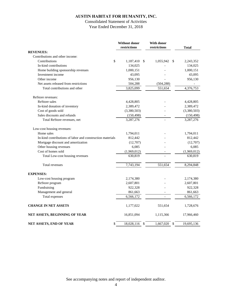# Consolidated Statement of Activities Year Ended December 31, 2018

|                                                           | Without donor<br>restrictions | With donor<br>restrictions | <b>Total</b>     |
|-----------------------------------------------------------|-------------------------------|----------------------------|------------------|
| <b>REVENUES:</b>                                          |                               |                            |                  |
| Contributions and other income:                           |                               |                            |                  |
| \$<br>Contributions                                       | 1,187,410<br>\$               | 1,055,942                  | \$<br>2,243,352  |
| In-kind contributions                                     | 134,025                       |                            | 134,025          |
| Home building sponsorship revenues                        | 1,000,151                     |                            | 1,000,151        |
| Investment income                                         | 43,095                        |                            | 43,095           |
| Other income                                              | 956,130                       |                            | 956,130          |
| Net assets released from restrictions                     | 504,288                       | (504, 288)                 |                  |
| Total contributions and other                             | 3,825,099                     | 551,654                    | 4,376,753        |
| ReStore revenues:                                         |                               |                            |                  |
| ReStore sales                                             | 4,428,805                     |                            | 4,428,805        |
| In-kind donation of inventory                             | 2,389,472                     |                            | 2,389,472        |
| Cost of goods sold                                        | (3,380,503)                   |                            | (3,380,503)      |
| Sales discounts and refunds                               | (150, 498)                    |                            | (150, 498)       |
| Total ReStore revenues, net                               | 3,287,276                     |                            | 3,287,276        |
| Low-cost housing revenues:                                |                               |                            |                  |
| Home sales                                                | 1,794,011                     |                            | 1,794,011        |
| In-kind contributions of labor and construction materials | 812,442                       |                            | 812,442          |
| Mortgage discount and amortization                        | (12,707)                      |                            | (12,707)         |
| Other housing revenues                                    | 6,085                         |                            | 6,085            |
| Cost of homes sold                                        | (1,969,012)                   |                            | (1,969,012)      |
| Total Low-cost housing revenues                           | 630,819                       |                            | 630,819          |
| Total revenues                                            | 7,743,194                     | 551,654                    | 8,294,848        |
| <b>EXPENSES:</b>                                          |                               |                            |                  |
| Low-cost housing program                                  | 2,174,380                     |                            | 2,174,380        |
| ReStore program                                           | 2,607,801                     |                            | 2,607,801        |
| Fundraising                                               | 922,328                       |                            | 922,328          |
| Management and general                                    | 861,663                       |                            | 861,663          |
| Total expenses                                            | 6,566,172                     | $\overline{a}$             | 6,566,172        |
| <b>CHANGE IN NET ASSETS</b>                               | 1,177,022                     | 551,654                    | 1,728,676        |
| NET ASSETS, BEGINNING OF YEAR                             | 16,851,094                    | 1,115,366                  | 17,966,460       |
| NET ASSETS, END OF YEAR<br>\$                             | 18,028,116<br>$\mathcal{S}$   | 1,667,020                  | \$<br>19,695,136 |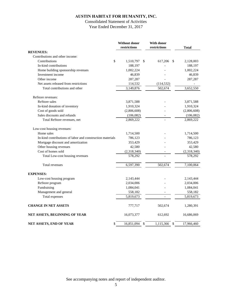# Consolidated Statement of Activities Year Ended December 31, 2017

|                                                           | Without donor<br>restrictions | With donor<br>restrictions | <b>Total</b> |
|-----------------------------------------------------------|-------------------------------|----------------------------|--------------|
| <b>REVENUES:</b>                                          |                               |                            |              |
| Contributions and other income:                           |                               |                            |              |
| $\mathsf{\$}$<br>Contributions                            | 1,510,797<br>\$               | 617,206<br>\$              | 2,128,003    |
| In-kind contributions                                     | 188,197                       |                            | 188,197      |
| Home building sponsorship revenues                        | 1,002,224                     |                            | 1,002,224    |
| Investment income                                         | 46,839                        |                            | 46,839       |
| Other income                                              | 287,287                       |                            | 287,287      |
| Net assets released from restrictions                     | 114,532                       | (114, 532)                 |              |
| Total contributions and other                             | 3,149,876                     | 502,674                    | 3,652,550    |
| ReStore revenues:                                         |                               |                            |              |
| <b>ReStore</b> sales                                      | 3,871,588                     |                            | 3,871,588    |
| In-kind donation of inventory                             | 1,910,324                     |                            | 1,910,324    |
| Cost of goods sold                                        | (2,806,608)                   |                            | (2,806,608)  |
| Sales discounts and refunds                               | (106,082)                     |                            | (106,082)    |
| Total ReStore revenues, net                               | 2,869,222                     |                            | 2,869,222    |
| Low-cost housing revenues:                                |                               |                            |              |
| Home sales                                                | 1,714,500                     |                            | 1,714,500    |
| In-kind contributions of labor and construction materials | 786,123                       |                            | 786,123      |
| Mortgage discount and amortization                        | 353,429                       |                            | 353,429      |
| Other housing revenues                                    | 42,580                        |                            | 42,580       |
| Cost of homes sold                                        | (2,318,340)                   |                            | (2,318,340)  |
| Total Low-cost housing revenues                           | 578,292                       |                            | 578,292      |
| Total revenues                                            | 6,597,390                     | 502,674                    | 7,100,064    |
| <b>EXPENSES:</b>                                          |                               |                            |              |
| Low-cost housing program                                  | 2,143,444                     |                            | 2,143,444    |
| ReStore program                                           | 2,034,006                     |                            | 2,034,006    |
| Fundraising                                               | 1,084,041                     |                            | 1,084,041    |
| Management and general                                    | 558,182                       |                            | 558,182      |
| Total expenses                                            | 5,819,673                     | $\overline{a}$             | 5,819,673    |
| <b>CHANGE IN NET ASSETS</b>                               | 777,717                       | 502,674                    | 1,280,391    |
| NET ASSETS, BEGINNING OF YEAR                             | 16,073,377                    | 612,692                    | 16,686,069   |
| NET ASSETS, END OF YEAR<br>\$                             | 16,851,094<br>\$              | 1,115,366<br>\$            | 17,966,460   |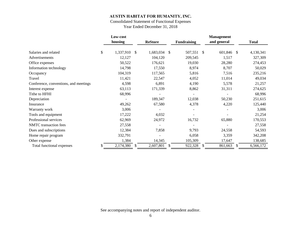# Consolidated Statement of Functional Expenses

Year Ended December 31, 2018

|                                       | Low-cost        |                 |               |                    |               | <b>Management</b> |   |              |
|---------------------------------------|-----------------|-----------------|---------------|--------------------|---------------|-------------------|---|--------------|
|                                       | housing         | <b>ReStore</b>  |               | <b>Fundraising</b> |               | and general       |   | <b>Total</b> |
| Salaries and related                  | \$<br>1,337,910 | \$<br>1,683,034 | $\mathcal{S}$ | 507,551            | -S            | 601,846 \$        |   | 4,130,341    |
| Advertisements                        | 12,127          | 104,120         |               | 209,545            |               | 1,517             |   | 327,309      |
| Office expenses                       | 50,522          | 176,621         |               | 19,030             |               | 28,280            |   | 274,453      |
| Information technology                | 14,798          | 17,550          |               | 8,974              |               | 8,707             |   | 50,029       |
| Occupancy                             | 104,319         | 117,565         |               | 5,816              |               | 7,516             |   | 235,216      |
| Travel                                | 11,421          | 22,547          |               | 4,052              |               | 11,014            |   | 49,034       |
| Conference, conventions, and meetings | 4,598           | 6,891           |               | 4,190              |               | 5,578             |   | 21,257       |
| Interest expense                      | 63,113          | 171,339         |               | 8,862              |               | 31,311            |   | 274,625      |
| Tithe to HFHI                         | 68,996          |                 |               | -                  |               |                   |   | 68,996       |
| Depreciation                          |                 | 189,347         |               | 12,038             |               | 50,230            |   | 251,615      |
| Insurance                             | 49,262          | 67,580          |               | 4,378              |               | 4,220             |   | 125,440      |
| Warranty work                         | 3,006           |                 |               |                    |               |                   |   | 3,006        |
| Tools and equipment                   | 17,222          | 4,032           |               |                    |               |                   |   | 21,254       |
| Professional services                 | 62,969          | 24,972          |               | 16,732             |               | 65,880            |   | 170,553      |
| <b>NMTC</b> transaction fees          | 27,558          |                 |               |                    |               |                   |   | 27,558       |
| Dues and subscriptions                | 12,384          | 7,858           |               | 9,793              |               | 24,558            |   | 54,593       |
| Home repair program                   | 332,791         |                 |               | 6,058              |               | 3,359             |   | 342,208      |
| Other expense                         | 1,384           | 14,345          |               | 105,309            |               | 17,647            |   | 138,685      |
| Total functional expenses             | 2,174,380       | \$<br>2,607,801 | S             | 922,328            | <sup>\$</sup> | 861,663           | S | 6,566,172    |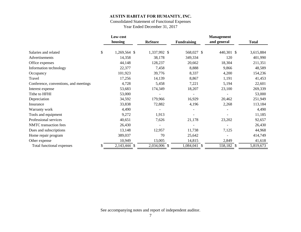# Consolidated Statement of Functional Expenses

Year Ended December 31, 2017

|                                       | Low-cost           |                |                    | <b>Management</b> |              |
|---------------------------------------|--------------------|----------------|--------------------|-------------------|--------------|
|                                       | housing            | <b>ReStore</b> | <b>Fundraising</b> | and general       | <b>Total</b> |
| Salaries and related                  | \$<br>1,269,564 \$ | 1,337,992 \$   | 568,027 \$         | 440,301 \$        | 3,615,884    |
| Advertisements                        | 14,358             | 38,178         | 349,334            | 120               | 401,990      |
| Office expenses                       | 44,148             | 128,237        | 20,662             | 18,304            | 211,351      |
| Information technology                | 22,377             | 7,458          | 8,888              | 9,866             | 48,589       |
| Occupancy                             | 101,923            | 39,776         | 8,337              | 4,200             | 154,236      |
| Travel                                | 17,256             | 14,139         | 8,867              | 1,191             | 41,453       |
| Conference, conventions, and meetings | 4,728              | 5,458          | 7,221              | 5,194             | 22,601       |
| Interest expense                      | 53,683             | 174,349        | 18,207             | 23,100            | 269,339      |
| Tithe to HFHI                         | 53,000             |                |                    |                   | 53,000       |
| Depreciation                          | 34,592             | 179,966        | 16,929             | 20,462            | 251,949      |
| Insurance                             | 33,838             | 72,882         | 4,196              | 2,268             | 113,184      |
| Warranty work                         | 4,490              |                |                    |                   | 4,490        |
| Tools and equipment                   | 9,272              | 1,913          |                    |                   | 11,185       |
| Professional services                 | 40,651             | 7,626          | 21,178             | 23,202            | 92,657       |
| <b>NMTC</b> transaction fees          | 26,430             |                | -                  |                   | 26,430       |
| Dues and subscriptions                | 13,148             | 12,957         | 11,738             | 7,125             | 44,968       |
| Home repair program                   | 389,037            | 70             | 25,642             |                   | 414,749      |
| Other expense                         | 10,949             | 13,005         | 14,815             | 2,849             | 41,618       |
| Total functional expenses             | 2,143,444 \$       | 2,034,006 \$   | 1,084,041 \$       | 558,182 \$        | 5,819,673    |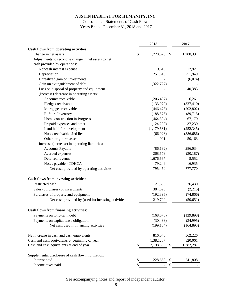# Consolidated Statements of Cash Flows Years Ended December 31, 2018 and 2017

|                                                      | 2018                  | 2017       |
|------------------------------------------------------|-----------------------|------------|
| Cash flows from operating activities:                |                       |            |
| Change in net assets                                 | \$<br>1,728,676<br>\$ | 1,280,391  |
| Adjustments to reconcile change in net assets to net |                       |            |
| cash provided by operations:                         |                       |            |
| Noncash interest expense                             | 9,610                 | 17,921     |
| Depreciation                                         | 251,615               | 251,949    |
| Unrealized gain on investments                       |                       | (6,074)    |
| Gain on extinguishment of debt                       | (322, 727)            |            |
| Loss on disposal of property and equipment           |                       | 40,383     |
| (Increase) decrease in operating assets:             |                       |            |
| Accounts receivable                                  | (206, 407)            | 16,261     |
| Pledges receivable                                   | (133,970)             | (327, 410) |
| Mortgages receivable                                 | (446, 478)            | (202, 802) |
| <b>ReStore Inventory</b>                             | (188, 576)            | (89, 715)  |
| Home construction in Progress                        | (464, 804)            | 67,170     |
| Prepaid expenses and other                           | (124, 233)            | 37,230     |
| Land held for development                            | (1, 179, 631)         | (252, 345) |
| Notes receivable, 2nd liens                          | (66,928)              | (386, 686) |
| Other long-term assets                               | 991                   | 50,163     |
| Increase (decrease) in operating liabilities:        |                       |            |
| Accounts Payable                                     | (86, 182)             | 286,034    |
| Accrued expenses                                     | 268,578               | (30, 187)  |
| Deferred revenue                                     | 1,676,667             | 8,552      |
| Notes payable - TDHCA                                | 79,249                | 16,935     |
| Net cash provided by operating activities            | 795,450               | 777,770    |
| Cash flows from investing activities:                |                       |            |
| Restricted cash                                      | 27,559                | 26,430     |
| Sales (purchases) of investments                     | 384,626               | (2,215)    |
| Purchases of property and equipment                  | (192, 395)            | (74, 866)  |
| Net cash provided by (used in) investing activities  | 219,790               | (50, 651)  |
| <b>Cash flows from financing activities:</b>         |                       |            |
| Payments on long-term debt                           | (168, 676)            | (129, 898) |
| Payments on capital lease obligation                 | (30, 488)             | (34,995)   |
| Net cash used in financing activities                | (199, 164)            | (164, 893) |
|                                                      |                       |            |
| Net increase in cash and cash equivalents            | 816,076               | 562,226    |
| Cash and cash equivalents at beginning of year       | 1,382,287             | 820,061    |
| Cash and cash equivalents at end of year             | 2,198,363             | 1,382,287  |
| Supplemental disclosure of cash flow information:    |                       |            |
| Interest paid                                        | \$<br>228,663<br>S    | 241,808    |
| Income taxes paid                                    |                       |            |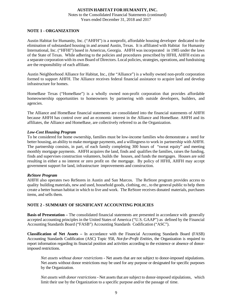Notes to the Consolidated Financial Statements (continued) Years ended December 31, 2018 and 2017

#### **NOTE 1 - ORGANIZATION**

Austin Habitat for Humanity, Inc. ("AHFH") is a nonprofit, affordable housing developer dedicated to the elimination of substandard housing in and around Austin, Texas. It is affiliated with Habitat for Humanity International, Inc. ("HFHI") based in Americus, Georgia. AHFH was incorporated in 1985 under the laws of the State of Texas. While adhering to the policies and procedures prescribed by HFHI, AHFH exists as a separate corporation with its own Board of Directors. Local policies, strategies, operations, and fundraising are the responsibility of each affiliate.

Austin Neighborhood Alliance for Habitat, Inc., (the "Alliance") is a wholly owned non-profit corporation formed to support AHFH. The Alliance receives federal financial assistance to acquire land and develop infrastructure for homes.

HomeBase Texas ("HomeBase") is a wholly owned non-profit corporation that provides affordable homeownership opportunities to homeowners by partnering with outside developers, builders, and agencies.

The Alliance and HomeBase financial statements are consolidated into the financial statements of AHFH because AHFH has control over and an economic interest in the Alliance and HomeBase. AHFH and its affiliates, the Alliance and HomeBase, are collectively referred to as the Organization.

#### *Low-Cost Housing Program*

To be considered for home ownership, families must be low-income families who demonstrate a need for better housing, an ability to make mortgage payments, and a willingness to work in partnership with AHFH. The partnership consists, in part, of each family completing 300 hours of "sweat equity" and meeting monthly mortgage payments. AHFH acquires the land, finds and qualifies the families, raises the funding, finds and supervises construction volunteers, builds the houses, and funds the mortgages. Houses are sold resulting in either a no interest or zero profit on the mortgage. By policy of HFHI, AHFH may accept government support for land, infrastructure improvements and construction.

#### *ReStore Program*

AHFH also operates two ReStores in Austin and San Marcos. The ReStore program provides access to quality building materials, new and used, household goods, clothing, etc., to the general public to help them create a better human habitat in which to live and work. The ReStore receives donated materials, purchases items, and sells them.

# **NOTE 2 - SUMMARY OF SIGNIFICANT ACCOUNTING POLICIES**

**Basis of Presentation –** The consolidated financial statements are presented in accordance with generally accepted accounting principles in the United States of America ("U.S. GAAP") as defined by the Financial Accounting Standards Board ("FASB") Accounting Standards Codification ("ASC").

**Classification of Net Assets –** In accordance with the Financial Accounting Standards Board (FASB) Accounting Standards Codification (ASC) Topic 958, *Not-for-Profit Entities*, the Organization is required to report information regarding its financial position and activities according to the existence or absence of donorimposed restrictions.

*Net assets without donor restrictions -* Net assets that are not subject to donor-imposed stipulations. Net assets without donor restrictions may be used for any purpose or designated for specific purposes by the Organization.

*Net assets with donor restrictions* **-** Net assets that are subject to donor-imposed stipulations, which limit their use by the Organization to a specific purpose and/or the passage of time.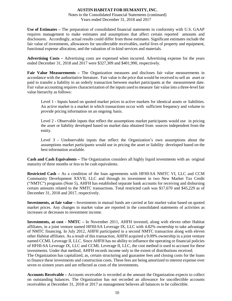#### Notes to the Consolidated Financial Statements (continued) Years ended December 31, 2018 and 2017

**Use of Estimates –** The preparation of consolidated financial statements in conformity with U.S. GAAP requires management to make estimates and assumptions that affect certain reported amounts and disclosures. Accordingly, actual results could differ from those estimates. Significant estimates include the fair value of investments, allowances for uncollectable receivables, useful lives of property and equipment, functional expense allocation, and the valuation of in-kind services and materials.

**Advertising Costs –** Advertising costs are expensed when incurred. Advertising expense for the years ended December 31, 2018 and 2017 were \$327,309 and \$401,990, respectively.

**Fair Value Measurements –** The Organization measures and discloses fair value measurements in accordance with the authoritative literature. Fair value is the price that would be received to sell an asset or paid to transfer a liability in an orderly transaction between market participants at the measurement date. Fair value accounting requires characterization of the inputs used to measure fair value into a three-level fair value hierarchy as follows:

Level 1 **-** Inputs based on quoted market prices in active markets for identical assets or liabilities. An active market is a market in which transactions occur with sufficient frequency and volume to provide pricing information on an ongoing basis.

Level 2 **-** Observable inputs that reflect the assumptions market participants would use in pricing the asset or liability developed based on market data obtained from sources independent from the entity.

Level 3 **-** Unobservable inputs that reflect the Organization's own assumptions about the assumptions market participants would use in pricing the asset or liability developed based on the best information available.

**Cash and Cash Equivalents –** The Organization considers all highly liquid investments with an original maturity of three months or less to be cash equivalents.

**Restricted Cash –** As a condition of the loan agreements with HFHI-SA NMTC VI, LLC and CCM Community Development XXVII, LLC and through its investment in two New Market Tax Credit ("NMTC") programs (Note 5), AHFH has established separate bank accounts for receiving and disbursing certain amounts related to the NMTC transactions. Total restricted cash was \$17,670 and \$45,229 as of December 31, 2018 and 2017, respectively.

**Investments, at fair value –** Investments in mutual funds are carried at fair market value based on quoted market prices. Any changes in market value are reported in the consolidated statements of activities as increases or decreases to investment income.

**Investments, at cost - NMTC –** In November 2011, AHFH invested, along with eleven other Habitat affiliates, in a joint venture named HFHI-SA Leverage IX, LLC with 4.82% ownership to take advantage of NMTC financing. In July 2012, AHFH participated in a second NMTC transaction along with eleven other Habitat affiliates. As a result of this transaction, AHFH acquired a 9.09% ownership in a joint venture named CCML Leverage II, LLC. Since AHFH has no ability to influence the operating or financial policies of HFHI-SA Leverage IX, LLC and CCML Leverage II, LLC, the cost method is used to account for these investments. Under that method, AHFH records income only to the extent of distributions received. The Organization has capitalized, as, certain structuring and guarantee fees and closing costs for the loans to finance these investments and construction costs. These fees are being amortized to interest expense over seven to sixteen years and are reflected as costs of the investments.

**Accounts Receivable –** Accounts receivable is recorded at the amount the Organization expects to collect on outstanding balances. The Organization has not recorded an allowance for uncollectible accounts receivables at December 31, 2018 or 2017 as management believes all balances to be collectible.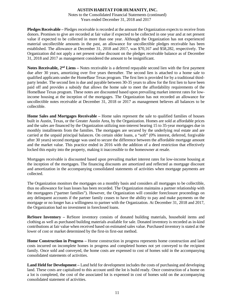Notes to the Consolidated Financial Statements (continued) Years ended December 31, 2018 and 2017

**Pledges Receivable –** Pledges receivable is recorded at the amount the Organization expects to receive from donors. Promises to give are recorded at fair value if expected to be collected in one year and at net present value if expected to be collected in more than one year. Although the Organization has not experienced material uncollectible amounts in the past, an allowance for uncollectible pledges receivable has been established. The allowance at December 31, 2018 and 2017, was \$70,167 and \$58,282, respectively. The Organization did not apply a net present value discount on the pledges receivable balance as of December 31, 2018 and 2017 as management considered the amount to be insignificant.

**Notes Receivable, 2nd Liens –** Notes receivable is a deferred repayable second lien with the first payment due after 30 years, amortizing over five years thereafter. The second lien is attached to a home sale to qualified applicants under the HomeBase Texas program. The first lien is provided for by a traditional thirdparty lender. The second lien is due and payable between 30-35 years to allow for the first lien to have been paid off and provides a subsidy that allows the home sale to meet the affordability requirements of the HomeBase Texas program. These notes are discounted based upon prevailing market interest rates for lowincome housing at the inception of the mortgages. The Organization has not recorded an allowance for uncollectible notes receivable at December 31, 2018 or 2017 as management believes all balances to be collectible.

**Home Sales and Mortgages Receivable –** Home sales represent the sale to qualified families of houses built in Austin, Texas, or the Greater Austin Area, by the Organization. Homes are sold at affordable prices and the sales are financed by the Organization utilizing non-interest bearing 15 to 35-year mortgages due in monthly installments from the families. The mortgages are secured by the underlying real estate and are carried at the unpaid principal balances. On certain older loans, a "soft" (0% interest, deferred, forgivable after 30 years) second mortgage was used to secure the difference between the affordable mortgage amount and the market value. This practice ended in 2016 with the addition of a deed restriction that effectively locked this equity into the property, making it inaccessible to the homeowner at resale.

Mortgages receivable is discounted based upon prevailing market interest rates for low-income housing at the inception of the mortgages. The financing discounts are amortized and reflected as mortgage discount and amortization in the accompanying consolidated statements of activities when mortgage payments are collected.

The Organization monitors the mortgages on a monthly basis and considers all mortgages to be collectible, thus no allowance for loan losses has been recorded. The Organization maintains a partner relationship with the mortgagees ("partner families"). However, the Organization will consider foreclosure proceedings on any delinquent accounts if the partner family ceases to have the ability to pay and make payments on the mortgage or no longer has a willingness to partner with the Organization. At December 31, 2018 and 2017, the Organization had no investment in foreclosed loans.

**ReStore Inventory –** ReStore inventory consists of donated building materials, household items and clothing as well as purchased building materials available for sale. Donated inventory is recorded as in-kind contributions at fair value when received based on estimated sales value. Purchased inventory is stated at the lower of cost or market determined by the first-in first-out method.

**Home Construction in Progress –** Home construction in progress represents home construction and land costs incurred on incomplete homes in progress and completed homes not yet conveyed to the recipient family. Once sold and conveyed, the home costs are expensed to cost of homes sold in the accompanying consolidated statements of activities.

**Land Held for Development –** Land held for development includes the costs of purchasing and developing land. These costs are capitalized to this account until the lot is build ready. Once construction of a home on a lot is completed, the cost of the associated lot is expensed in cost of homes sold on the accompanying consolidated statement of activities.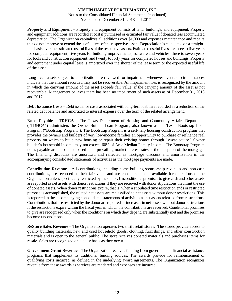Notes to the Consolidated Financial Statements (continued) Years ended December 31, 2018 and 2017

**Property and Equipment –** Property and equipment consists of land, buildings, and equipment. Property and equipment additions are recorded at cost if purchased or estimated fair value if donated less accumulated depreciation. The Organization capitalizes all additions over \$1,000 and expenses maintenance and repairs that do not improve or extend the useful lives of the respective assets. Depreciation is calculated on a straightline basis over the estimated useful lives of the respective assets. Estimated useful lives are three to five years for computer equipment; five years for building improvements, software and vehicles; three to seven years for tools and construction equipment; and twenty to forty years for completed houses and buildings. Property and equipment under capital lease is amortized over the shorter of the lease term or the expected useful life of the asset.

Long-lived assets subject to amortization are reviewed for impairment whenever events or circumstances indicate that the amount recorded may not be recoverable. An impairment loss is recognized by the amount in which the carrying amount of the asset exceeds fair value, if the carrying amount of the asset is not recoverable. Management believes there has been no impairment of such assets as of December 31, 2018 and 2017.

**Debt Issuance Costs** – Debt issuance costs associated with long-term debt are recorded as a reduction of the related debt balance and amortized to interest expense over the term of the related arrangement.

**Notes Payable – TDHCA** – The Texas Department of Housing and Community Affairs Department ("TDHCA") administers the Owner-Builder Loan Program, also known as the Texas Bootstrap Loan Program ("Bootstrap Program"). The Bootstrap Program is a self-help housing construction program that provides the owners and builders of very low-income families an opportunity to purchase or refinance real property on which to build new housing or repair their existing homes through "sweat equity." Owner builder's household income may not exceed 60% of Area Median Family Income. The Bootstrap Program notes payable are discounted based upon prevailing market interest rates at the inception of the mortgage. The financing discounts are amortized and reflected as mortgage discount and amortization in the accompanying consolidated statements of activities as the mortgage payments are made.

**Contribution Revenue –** All contributions, including home building sponsorship revenues and non-cash contributions, are recorded at their fair value and are considered to be available for operations of the Organization unless specifically restricted by the donor. Unconditional promises to give cash and other assets are reported as net assets with donor restrictions if they are received with donor stipulations that limit the use of donated assets. When donor restrictions expire, that is, when a stipulated time restriction ends or restricted purpose is accomplished, the related net assets are reclassified to net assets without donor restrictions. This is reported in the accompanying consolidated statements of activities as net assets released from restrictions. Contributions that are restricted by the donor are reported as increases in net assets without donor restrictions if the restrictions expire within the fiscal year in which the contributions are received. Conditional promises to give are recognized only when the conditions on which they depend are substantially met and the promises become unconditional.

**ReStore Sales Revenue –** The Organization operates two thrift retail stores. The stores provide access to quality building materials, new and used household goods, clothing, furnishings, and other construction materials and is open to the general public. The store receives donated materials and purchases items for resale. Sales are recognized on a daily basis as they occur.

**Government Grant Revenue –** The Organization receives funding from governmental financial assistance programs that supplement its traditional funding sources. The awards provide for reimbursement of qualifying costs incurred, as defined in the underlying award agreements. The Organization recognizes revenue from these awards as services are rendered and expenses are incurred.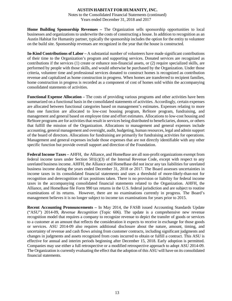Notes to the Consolidated Financial Statements (continued) Years ended December 31, 2018 and 2017

**Home Building Sponsorship Revenues –** The Organization sells sponsorship opportunities to local businesses and organizations to underwrite the costs of constructing a house. In addition to recognition as an Austin Habitat for Humanity partner, typically the sponsorship includes the option for the entity to volunteer on the build site. Sponsorship revenues are recognized in the year that the house is constructed.

**In-Kind Contributions of Labor –** A substantial number of volunteers have made significant contributions of their time to the Organization's program and supporting services. Donated services are recognized as contributions if the services (1) create or enhance non-financial assets, or (2) require specialized skills, are performed by people with those skills, and would otherwise be purchased by the Organization. Under those criteria, volunteer time and professional services donated to construct homes is recognized as contribution revenue and capitalized as home construction in progress. When homes are transferred to recipient families, home construction in progress is recorded as a component of cost of homes sold within the accompanying consolidated statements of activities.

**Functional Expense Allocation –** The costs of providing various programs and other activities have been summarized on a functional basis in the consolidated statements of activities. Accordingly, certain expenses are allocated between functional categories based on management's estimates. Expenses relating to more than one function are allocated to low-cost housing program, ReStore program, fundraising, and management and general based on employee time and effort estimates. Allocations to low-cost housing and ReStore programs are for activities that result in services being distributed to beneficiaries, donors, or others that fulfill the mission of the Organization. Allocations to management and general expenses include accounting, general management and oversight, audit, budgeting, human resources, legal and admin support of the board of directors. Allocations for fundraising are primarily for fundraising activities for operations. Management and general expenses include those expenses that are not directly identifiable with any other specific function but provide overall support and direction of the Foundation.

**Federal Income Taxes –** AHFH, the Alliance, and HomeBase are all non-profit organizations exempt from federal income taxes under Section  $501(c)(3)$  of the Internal Revenue Code, except with respect to any unrelated business income. AHFH, the Alliance and HomeBase did not incur any tax liabilities for unrelated business income during the years ended December 31, 2018 or 2017. The Board assesses uncertainties in income taxes in its consolidated financial statements and uses a threshold of more-likely-than-not for recognition and derecognition of tax positions taken. There is no provision or liability for federal income taxes in the accompanying consolidated financial statements related to the Organization. AHFH, the Alliance, and HomeBase file Form 990 tax returns in the U.S. federal jurisdiction and are subject to routine examinations of its returns. However, there are no examinations currently in progress. The Board's management believes it is no longer subject to income tax examinations for years prior to 2015.

**Recent Accounting Pronouncements –** In May 2014, the FASB issued Accounting Standards Update ("ASU") 2014-09, *Revenue Recognition* (Topic 606). The update is a comprehensive new revenue recognition model that requires a company to recognize revenue to depict the transfer of goods or services to a customer at an amount that reflects the consideration it expects to receive in exchange for those goods or services. ASU 2014-09 also requires additional disclosure about the nature, amount, timing, and uncertainty of revenue and cash flows arising from customer contracts, including significant judgments and changes in judgments and assets recognized from costs incurred to obtain or fulfill a contract. This ASU is effective for annual and interim periods beginning after December 15, 2018. Early adoption is permitted. Companies may use either a full retrospective or a modified retrospective approach to adopt ASU 2014-09. The Organization is currently evaluating the effect that the adoption of this ASU will have on its consolidated financial statements.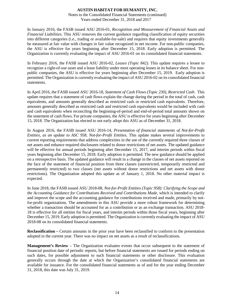Notes to the Consolidated Financial Statements (continued) Years ended December 31, 2018 and 2017

In January 2016, the FASB issued ASU 2016-01, *Recognition and Measurement of Financial Assets and Financial Liabilities.* This ASU removes the current guidance regarding classification of equity securities into different categories (i.e., trading or available-for-sale) and requires that equity investments generally be measured at fair value with changes in fair value recognized in net income. For non-public companies, the ASU is effective for years beginning after December 15, 2018. Early adoption is permitted. The Organization is currently evaluating the impact of ASU 2016-01 on its consolidated financial statements.

In February 2016, the FASB issued ASU 2016-02, *Leases (Topic 842)*. This update requires a lessee to recognize a right-of-use asset and a lease liability under most operating leases in its balance sheet. For nonpublic companies, the ASU is effective for years beginning after December 15, 2019. Early adoption is permitted. The Organization is currently evaluating the impact of ASU 2016-02 on its consolidated financial statements.

In April 2016, the FASB issued ASU 2016-18, *Statement of Cash Flows (Topic 230), Restricted Cash*. This update requires that a statement of cash flows explain the change during the period in the total of cash, cash equivalents, and amounts generally described as restricted cash or restricted cash equivalents. Therefore, amounts generally described as restricted cash and restricted cash equivalents would be included with cash and cash equivalents when reconciling the beginning-of-period and end-of-period total amounts shown on the statement of cash flows. For private companies, the ASU is effective for years beginning after December 15, 2018. The Organization has elected to not early adopt this ASU as of December 31, 2018.

In August 2016, the FASB issued ASU 2016-14, *Presentation of financial statements of Not-for-Profit Entities, as an update to ASC 958, Not-for-Profit Entities*. This update makes several improvements to current reporting requirements that address complexities in the use of the currently required three classes of net assets and enhance required disclosures related to donor restrictions of net assets. The updated guidance will be effective for annual periods beginning after December 15, 2017, and interim periods within fiscal years beginning after December 15, 2018. Early adoption is permitted. The new guidance should be applied on a retrospective basis. The updated guidance will result in a change in the classes of net assets reported on the face of the statement of financial position from three classes (unrestricted, temporarily restricted and permanently restricted) to two classes (net assets without donor restrictions and net assets with donor restrictions). The Organization adopted this update as of January 1, 2018. No other material impact is expected.

In June 2018, the FASB issued ASU 2018-08, *Not-for-Profit Entities (Topic 958): Clarifying the Scope and the Accounting Guidance for Contributions Received and Contributions Made*, which is intended to clarify and improve the scope and the accounting guidance for contributions received and made, primarily by notfor-profit organizations. The amendments in this ASU provide a more robust framework for determining whether a transaction should be accounted for as a contribution or as an exchange transaction. ASU 2018-18 is effective for all entities for fiscal years, and interim periods within those fiscal years, beginning after December 15, 2019. Early adoption is permitted. The Organization is currently evaluating the impact of ASU 2018-08 on its consolidated financial statements.

**Reclassification –** Certain amounts in the prior year have been reclassified to conform to the presentation adopted in the current year. There was no impact on net assets as a result of reclassifications.

**Management's Review** – The Organization evaluates events that occur subsequent to the statement of financial position date of periodic reports, but before financial statements are issued for periods ending on such dates, for possible adjustment to such financial statements or other disclosure. This evaluation generally occurs through the date at which the Organization's consolidated financial statements are available for issuance. For the consolidated financial statements as of and for the year ending December 31, 2018, this date was July 31, 2019.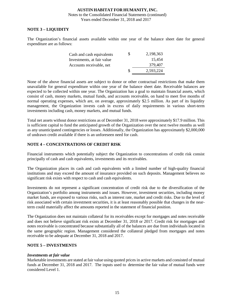#### **AUSTIN HABITAT FOR HUMANITY,INC.** Notes to the Consolidated Financial Statements (continued) Years ended December 31, 2018 and 2017

### **NOTE 3 – LIQUIDITY**

The Organization's financial assets available within one year of the balance sheet date for general expenditure are as follows:

| Cash and cash equivalents  | S | 2,198,363 |
|----------------------------|---|-----------|
| Investments, at fair value |   | 15.454    |
| Accounts receivable, net   |   | 379,407   |
|                            | S | 2.593.224 |

None of the above financial assets are subject to donor or other contractual restrictions that make them unavailable for general expenditure within one year of the balance sheet date. Receivable balances are expected to be collected within one year. The Organization has a goal to maintain financial assets, which consist of cash, money markets, mutual funds, and accounts receivable, on hand to meet five months of normal operating expenses, which are, on average, approximately \$2.5 million. As part of its liquidity management, the Organization invests cash in excess of daily requirements in various short-term investments including cash, money markets, and mutual funds.

Total net assets without donor restrictions as of December 31, 2018 were approximately \$17.9 million. This is sufficient capital to fund the anticipated growth of the Organization over the next twelve months as well as any unanticipated contingencies or losses. Additionally, the Organization has approximately \$2,000,000 of undrawn credit available if there is an unforeseen need for cash.

# **NOTE 4 – CONCENTRATIONS OF CREDIT RISK**

Financial instruments which potentially subject the Organization to concentrations of credit risk consist principally of cash and cash equivalents, investments and its receivables.

The Organization places its cash and cash equivalents with a limited number of high-quality financial institutions and may exceed the amount of insurance provided on such deposits. Management believes no significant risk exists with respect to cash and cash equivalents.

Investments do not represent a significant concentration of credit risk due to the diversification of the Organization's portfolio among instruments and issues. However, investment securities, including money market funds, are exposed to various risks, such as interest rate, market and credit risks. Due to the level of risk associated with certain investment securities, it is at least reasonably possible that changes in the nearterm could materially affect the amounts reported in the statement of financial position.

The Organization does not maintain collateral for its receivables except for mortgages and notes receivable and does not believe significant risk exists at December 31, 2018 or 2017. Credit risk for mortgages and notes receivable is concentrated because substantially all of the balances are due from individuals located in the same geographic region. Management considered the collateral pledged from mortgages and notes receivable to be adequate at December 31, 2018 and 2017.

#### **NOTE 5 – INVESTMENTS**

#### *Investments at fair value*

Marketable investments are stated at fair value using quoted prices in active markets and consisted of mutual funds at December 31, 2018 and 2017. The inputs used to determine the fair value of mutual funds were considered Level 1.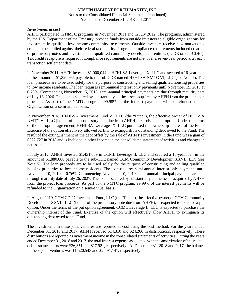Notes to the Consolidated Financial Statements (continued) Years ended December 31, 2018 and 2017

#### *Investments at cost*

AHFH participated in NMTC programs in November 2011 and in July 2012. The programs, administered by the U.S. Department of the Treasury, provide funds from outside investors to eligible organizations for investment in qualified low-income community investments. Outside investors receive new markets tax credits to be applied against their federal tax liability. Program compliance requirements included creation of promissory notes and investments in qualified community development entities ("CDE or sub-CDE"). Tax credit recapture is required if compliance requirements are not met over a seven-year period after each transaction settlement date.

In November 2011, AHFH invested \$1,000,044 in HFHI-SA Leverage IX, LLC and secured a 16-year loan in the amount of \$1,320,965 payable to the sub-CDE named HFHI-SA NMTC VI, LLC (see Note 5). The loan proceeds are to be used solely for the purpose of constructing and selling qualified housing properties to low income residents. The loan requires semi-annual interest only payments until November 15, 2018 at 0.75%. Commencing November 15, 2018, semi-annual principal payments are due through maturity date of July 13, 2026. The loan is secured by substantially all the assets acquired by AHFH from the project loan proceeds. As part of the NMTC program, 99.98% of the interest payments will be refunded to the Organization on a semi-annual basis.

In November 2018, HFHI-SA Investment Fund VI, LLC (the "Fund"), the effective owner of HFHI-SA NMTC VI, LLC (holder of the promissory note due from AHFH), exercised a put option. Under the terms of the put option agreement, HFHI-SA Leverage IX, LLC purchased the ownership interest of the Fund. Exercise of the option effectively allowed AHFH to extinguish its outstanding debt owed to the Fund. The result of the extinguishment of the debt offset by the sale of AHFH's investment in the Fund was a gain of \$322,727 in 2018 and is included in other income in the consolidated statement of activities and changes in net assets.

In July 2012, AHFH invested \$1,431,009 in CCML Leverage II, LLC and secured a 16-year loan in the amount of \$1,880,000 payable to the sub-CDE named CCM Community Development XXVII, LLC (see Note 5). The loan proceeds are to be used solely for the purpose of constructing and selling qualified housing properties to low income residents. The loan requires semi-annual interest only payments until November 10, 2019 at 0.76%. Commencing November 10, 2019, semi-annual principal payments are due through maturity date of July 26, 2027. The loan is secured by substantially all the assets acquired by AHFH from the project loan proceeds. As part of the NMTC program, 99.99% of the interest payments will be refunded to the Organization on a semi-annual basis.

In August 2019, CCM CD 27 Investment Fund, LLC (the "Fund"), the effective owner of CCM Community Development XXVII, LLC (holder of the promissory note due from AHFH), is expected to exercise a put option. Under the terms of the put option agreement, CCML Leverage II, LLC is expected to purchase the ownership interest of the Fund. Exercise of the option will effectively allow AHFH to extinguish its outstanding debt owed to the Fund.

The investments in these joint ventures are reported at cost using the cost method. For the years ended December 31, 2018 and 2017, AHFH received \$14,310 and \$24,266 in distributions, respectively. These distributions are reported as investment income in the consolidated statements of activities. During the years ended December 31, 2018 and 2017, the total interest expense associated with the amortization of the related debt issuance costs were \$36,351 and \$17,921, respectively. At December 31, 2018 and 2017, the balance in these joint ventures was \$1,520,548 and \$2,491,147, respectively.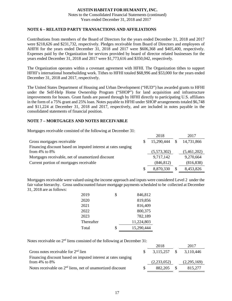Notes to the Consolidated Financial Statements (continued) Years ended December 31, 2018 and 2017

#### **NOTE 6 – RELATED PARTY TRANSACTIONS AND AFFILIATIONS**

Contributions from members of the Board of Directors for the years ended December 31, 2018 and 2017 were \$218,626 and \$231,732, respectively. Pledges receivable from Board of Directors and employees of AHFH for the years ended December 31, 2018 and 2017 were \$606,368 and \$405,400, respectively. Expenses paid by the Organization for services provided by board of director related businesses for the years ended December 31, 2018 and 2017 were \$1,773,616 and \$350,042, respectively.

The Organization operates within a covenant agreement with HFHI. The Organization tithes to support HFHI's international homebuilding work. Tithes to HFHI totaled \$68,996 and \$53,000 for the years ended December 31, 2018 and 2017, respectively.

The United States Department of Housing and Urban Development ("HUD") has awarded grants to HFHI under the Self-Help Home Ownership Program ("SHOP") for land acquisition and infrastructure improvements for houses. Grant funds are passed through by HFHI directly to participating U.S. affiliates in the form of a 75% grant and 25% loan. Notes payable to HFHI under SHOP arrangements totaled \$6,748 and \$11,224 at December 31, 2018 and 2017, respectively, and are included in notes payable in the consolidated statements of financial position.

#### **NOTE 7 – MORTGAGES AND NOTES RECEIVABLE**

Mortgages receivable consisted of the following at December 31:

|                                                               | 2018        |      | 2017        |
|---------------------------------------------------------------|-------------|------|-------------|
| Gross mortgages receivable                                    | 15,290,444  | - \$ | 14,731,866  |
| Financing discount based on imputed interest at rates ranging |             |      |             |
| from $4\%$ to $8\%$                                           | (5,573,302) |      | (5,461,202) |
| Mortgages receivable, net of unamortized discount             | 9,717,142   |      | 9,270,664   |
| Current portion of mortgages receivable                       | (846, 812)  |      | (816, 838)  |
|                                                               | 8,870,330   |      | 8,453,826   |

Mortgages receivable were valued using the income approach and inputs were considered Level 2 under the fair value hierarchy. Gross undiscounted future mortgage payments scheduled to be collected at December 31, 2018 are as follows:

| 2019       | \$<br>846,812    |
|------------|------------------|
| 2020       | 819,856          |
| 2021       | 816,409          |
| 2022       | 800,375          |
| 2023       | 782,189          |
| Thereafter | 11,224,803       |
| Total      | \$<br>15,290,444 |

Notes receivable on 2<sup>nd</sup> liens consisted of the following at December 31:

|                                                               | 2018        |      | 2017        |
|---------------------------------------------------------------|-------------|------|-------------|
| Gross notes receivable for $2nd$ lien                         | 3.115.257   | - \$ | 3.110.446   |
| Financing discount based on imputed interest at rates ranging |             |      |             |
| from $4\%$ to $8\%$                                           | (2,233,052) |      | (2,295,169) |
| Notes receivable on $2nd$ liens, net of unamortized discount  | 882.205     |      | 815,277     |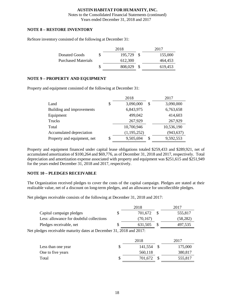Notes to the Consolidated Financial Statements (continued) Years ended December 31, 2018 and 2017

### **NOTE 8 – RESTORE INVENTORY**

ReStore inventory consisted of the following at December 31:

|                            | 2018    |    | 2017    |
|----------------------------|---------|----|---------|
| Donated Goods              | 195,729 | -S | 155,000 |
| <b>Purchased Materials</b> | 612.300 |    | 464.453 |
|                            | 808,029 |    | 619.453 |

#### **NOTE 9 – PROPERTY AND EQUIPMENT**

Property and equipment consisted of the following at December 31:

|                             | 2018            | 2017            |
|-----------------------------|-----------------|-----------------|
| Land                        | \$<br>3,090,000 | \$<br>3,090,000 |
| Building and improvements   | 6,843,975       | 6,763,658       |
| Equipment                   | 499,042         | 414,603         |
| Trucks                      | 267,929         | 267,929         |
| Total                       | 10,700,946      | 10,536,190      |
| Accumulated depreciation    | (1, 195, 252)   | (943, 637)      |
| Property and equipment, net | \$<br>9,505,694 | \$<br>9,592,553 |

Property and equipment financed under capital lease obligations totaled \$259,433 and \$289,921, net of accumulated amortization of \$100,264 and \$69,776, as of December 31, 2018 and 2017, respectively. Total depreciation and amortization expense associated with property and equipment was \$251,615 and \$251,949 for the years ended December 31, 2018 and 2017, respectively.

# **NOTE 10 – PLEDGES RECEIVABLE**

The Organization received pledges to cover the costs of the capital campaign. Pledges are stated at their realizable value, net of a discount on long-term pledges, and an allowance for uncollectible pledges.

Net pledges receivable consists of the following at December 31, 2018 and 2017:

|                                                                      |    | 2018      |              | 2017      |
|----------------------------------------------------------------------|----|-----------|--------------|-----------|
| Capital campaign pledges                                             | \$ | 701,672   | -S           | 555,817   |
| Less: allowance for doubtful collections                             |    | (70, 167) |              | (58, 282) |
| Pledges receivable, net                                              | S  | 631,505   | $\mathbb{S}$ | 497,535   |
| Net pledges receivable maturity dates at December 31, 2018 and 2017: |    |           |              |           |
|                                                                      |    | 2018      |              | 2017      |
| Less than one year                                                   | \$ | 141,554   | -S           | 175,000   |
| One to five years                                                    |    | 560,118   |              | 380,817   |

Total \$ 701,672 \$ 555,817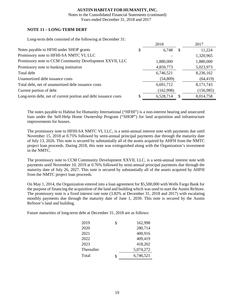Notes to the Consolidated Financial Statements (continued) Years ended December 31, 2018 and 2017

# **NOTE 11 – LONG-TERM DEBT**

Long-term debt consisted of the following at December 31:

|                                                                | 2018            |               | 2017      |
|----------------------------------------------------------------|-----------------|---------------|-----------|
| Notes payable to HFHI under SHOP grants                        | \$<br>6,748     | <sup>\$</sup> | 11,224    |
| Promissory note to HFHI-SA NMTC VI, LLC                        |                 |               | 1,320,965 |
| Promissory note to CCM Community Development XXVII, LLC        | 1,880,000       |               | 1,880,000 |
| Promissory note to banking institution                         | 4,859,773       |               | 5,023,973 |
| Total debt                                                     | 6,746,521       |               | 8,236,162 |
| Unamortized debt issuance costs                                | (54, 809)       |               | (64, 419) |
| Total debt, net of unamortized debt issuance costs             | 6,691,712       |               | 8,171,743 |
| Current portion of debt                                        | (162,998)       |               | (156,985) |
| Long-term debt, net of current portion and debt issuance costs | \$<br>6,528,714 |               | 8,014,758 |

The notes payable to Habitat for Humanity International ("HFHI") is a non-interest bearing and unsecured loan under the Self-Help Home Ownership Program ("SHOP") for land acquisition and infrastructure improvements for houses.

The promissory note to HFHI-SA NMTC VI, LLC, is a semi-annual interest note with payments due until November 15, 2018 at 0.75% followed by semi-annual principal payments due through the maturity date of July 13, 2026. This note is secured by substantially all of the assets acquired by AHFH from the NMTC project loan proceeds. During 2018, this note was extinguished along with the Organization's investment in the NMTC.

The promissory note to CCM Community Development XXVII, LLC, is a semi-annual interest note with payments until November 10, 2019 at 0.76% followed by semi-annual principal payments due through the maturity date of July 26, 2027. This note is secured by substantially all of the assets acquired by AHFH from the NMTC project loan proceeds.

On May 1, 2014, the Organization entered into a loan agreement for \$5,500,000 with Wells Fargo Bank for the purpose of financing the acquisition of the land and building which was used to start the Austin ReStore. The promissory note is a fixed interest rate note (3.82% at December 31, 2018 and 2017) with escalating monthly payments due through the maturity date of June 1, 2039. This note is secured by the Austin ReStore's land and building.

Future maturities of long-term debt at December 31, 2018 are as follows:

| 2019       | \$ | 162,998   |
|------------|----|-----------|
| 2020       |    | 280,714   |
| 2021       |    | 400,916   |
| 2022       |    | 409,419   |
| 2023       |    | 418,202   |
| Thereafter |    | 5,074,272 |
| Total      | ፍ  | 6,746,521 |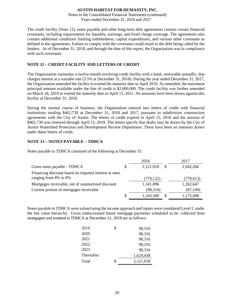Notes to the Consolidated Financial Statements (continued) Years ended December 31, 2018 and 2017

The credit facility (Note 12), notes payable and other long-term debt agreements contain certain financial covenants, including requirements for liquidity, earnings, and fixed charge coverage. The agreements also contain additional conditions limiting indebtedness, capital expenditures, and various other covenants as defined in the agreements. Failure to comply with the covenants could result in the debt being called by the lenders. As of December 31, 2018, and through the date of this report, the Organization was in compliance with such covenants.

#### **NOTE 12 – CREDIT FACILITY AND LETTERS OF CREDIT**

The Organization maintains a twelve-month revolving credit facility with a bank, renewable annually, that charges interest at a variable rate (5.5% at December 31, 2018). During the year ended December 31, 2017, the Organization amended the facility to extend the maturity date to April 2019. As amended, the maximum principal amount available under the line of credit is \$2,000,000. The credit facility was further amended on March 18, 2019 to extend the maturity date to April 15, 2021. No amounts have been drawn against this facility at December 31, 2018.

During the normal course of business, the Organization entered into letters of credit with financial institutions totaling \$462,730 at December 31, 2018 and 2017, pursuant to subdivision construction agreements with the City of Austin. The letters of credit expired in April 15, 2018 and the amount of \$462,730 was renewed through April 15, 2019. The letters specify that drafts may be drawn by the City of Austin Watershed Protection and Development Review Department. There have been no amounts drawn under these letters of credit.

#### **NOTE 13 – NOTES PAYABLE – TDHCA**

Notes payable to TDHCA consisted of the following at December 31:

|                                                       | 2018       | 2017       |
|-------------------------------------------------------|------------|------------|
| Gross notes payable - TDHCA                           | 2,121,018  | 2,042,260  |
| Financing discount based on imputed interest at rates |            |            |
| ranging from 4% to 8%                                 | (779, 122) | (779, 613) |
| Mortgages receivable, net of unamortized discount     | 1,341,896  | 1,262,647  |
| Current portion of mortgages receivable               | (98, 316)  | (87, 149)  |
|                                                       | 1,243,580  | 1,175,498  |

Notes payable to TDHCA were valued using the income approach and inputs were considered Level 2 under the fair value hierarchy. Gross undiscounted future mortgage payments scheduled to be collected from mortgagees and remitted to TDHCA at December 31, 2018 are as follows:

| 2019       | \$<br>98,316    |
|------------|-----------------|
| 2020       | 98,316          |
| 2021       | 98,316          |
| 2022       | 98,316          |
| 2023       | 98,316          |
| Thereafter | 1,629,438       |
| Total      | \$<br>2,121,018 |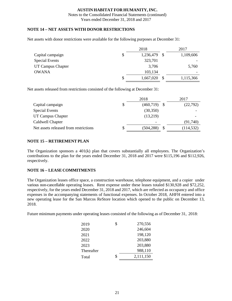Notes to the Consolidated Financial Statements (continued) Years ended December 31, 2018 and 2017

#### **NOTE 14 – NET ASSETS WITH DONOR RESTRICTIONS**

Net assets with donor restrictions were available for the following purposes at December 31:

|                       | 2018            |     | 2017      |
|-----------------------|-----------------|-----|-----------|
| Capital campaign      | \$<br>1,236,479 | - S | 1,109,606 |
| <b>Special Events</b> | 323,701         |     |           |
| UT Campus Chapter     | 3,706           |     | 5,760     |
| <b>OWANA</b>          | 103,134         |     |           |
|                       | \$<br>1,667,020 |     | 1,115,366 |

Net assets released from restrictions consisted of the following at December 31:

|                                       | 2018                 | 2017       |
|---------------------------------------|----------------------|------------|
| Capital campaign                      | \$<br>$(460,719)$ \$ | (22, 792)  |
| Special Events                        | (30, 350)            |            |
| UT Campus Chapter                     | (13,219)             |            |
| Caldwell Chapter                      |                      | (91,740)   |
| Net assets released from restrictions | \$<br>(504, 288)     | (114, 532) |

#### **NOTE 15 – RETIREMENT PLAN**

The Organization sponsors a  $401(k)$  plan that covers substantially all employees. The Organization's contributions to the plan for the years ended December 31, 2018 and 2017 were \$115,196 and \$112,926, respectively.

# **NOTE 16 – LEASE COMMITMENTS**

The Organization leases office space, a construction warehouse, telephone equipment, and a copier under various non-cancellable operating leases. Rent expense under these leases totaled \$130,928 and \$72,252, respectively, for the years ended December 31, 2018 and 2017, which are reflected as occupancy and office expenses in the accompanying statements of functional expenses. In October 2018, AHFH entered into a new operating lease for the San Marcos ReStore location which opened to the public on December 13, 2018.

Future minimum payments under operating leases consisted of the following as of December 31, 2018:

| 2019       | \$<br>270,556   |
|------------|-----------------|
| 2020       | 246,604         |
| 2021       | 198,120         |
| 2022       | 203,880         |
| 2023       | 203,880         |
| Thereafter | 988,110         |
| Total      | \$<br>2,111,150 |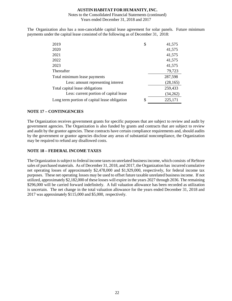#### Notes to the Consolidated Financial Statements (continued) Years ended December 31, 2018 and 2017

The Organization also has a non-cancelable capital lease agreement for solar panels. Future minimum payments under the capital lease consisted of the following as of December 31, 2018:

| 2019                                          | \$<br>41,575  |
|-----------------------------------------------|---------------|
| 2020                                          | 41,575        |
| 2021                                          | 41,575        |
| 2022                                          | 41,575        |
| 2023                                          | 41,575        |
| Thereafter                                    | 79,723        |
| Total minimum lease payments                  | 287,598       |
| Less: amount representing interest            | (28, 165)     |
| Total capital lease obligations               | 259,433       |
| Less: current portion of capital lease        | (34,262)      |
| Long term portion of capital lease obligation | \$<br>225,171 |

#### **NOTE 17 – CONTINGENCIES**

The Organization receives government grants for specific purposes that are subject to review and audit by government agencies. The Organization is also funded by grants and contracts that are subject to review and audit by the grantor agencies. These contracts have certain compliance requirements and, should audits by the government or grantor agencies disclose any areas of substantial noncompliance, the Organization may be required to refund any disallowed costs.

# **NOTE 18 – FEDERAL INCOME TAXES**

The Organization issubject to federal income taxes on unrelated businessincome, which consists of ReStore sales of purchased materials. As of December 31, 2018, and 2017, the Organization has incurred cumulative net operating losses of approximately \$2,478,000 and \$1,929,000, respectively, for federal income tax purposes. These net operating losses may be used to offset future taxable unrelated business income. If not utilized, approximately \$2,182,000 of these losses will expire in the years 2027 through 2036. The remaining \$296,000 will be carried forward indefinitely. A full valuation allowance has been recorded as utilization is uncertain. The net change in the total valuation allowance for the years ended December 31, 2018 and 2017 was approximately \$115,000 and \$5,000, respectively.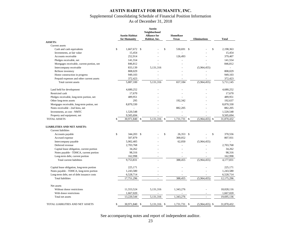# **AUSTIN HABITAT FOR HUMANITY, INC.** Supplemental Consolidating Schedule of Financial Position Information

# As of December 31, 2018

|                                             | <b>Austin Habitat</b><br>for Humanity | <b>Austin</b><br>Neighborhood<br><b>Alliance for</b><br>Habitat, Inc. | <b>HomeBase</b><br><b>Texas</b> | <b>Eliminations</b> |                  |    | <b>Total</b> |
|---------------------------------------------|---------------------------------------|-----------------------------------------------------------------------|---------------------------------|---------------------|------------------|----|--------------|
| <b>ASSETS:</b>                              |                                       |                                                                       |                                 |                     |                  |    |              |
| Current assets                              |                                       |                                                                       |                                 |                     |                  |    |              |
| Cash and cash equivalents                   | \$<br>1,667,672 \$                    |                                                                       | \$<br>530,691 \$                |                     |                  | \$ | 2.198.363    |
| Investments, at fair value                  | 15,454                                |                                                                       |                                 |                     |                  |    | 15,454       |
| Accounts receivable                         | 252,914                               |                                                                       | 126,493                         |                     |                  |    | 379,407      |
| Pledges receivable, net                     | 141,554                               |                                                                       |                                 |                     |                  |    | 141,554      |
| Mortgages receivable, current portion, net  | 846,812                               |                                                                       |                                 |                     |                  |    | 846,812      |
| Intercompany receivable                     | 833,139                               | 5,131,316                                                             |                                 |                     | (5,964,455)      |    |              |
| ReStore inventory                           | 808,029                               |                                                                       |                                 |                     |                  |    | 808,029      |
| Home construction in progress               | 949,103                               |                                                                       |                                 |                     |                  |    | 949,103      |
| Prepaid expenses and other current assets   | 372,423                               |                                                                       |                                 |                     |                  |    | 372,423      |
| Total current assets                        | 5,887,100                             | 5,131,316                                                             | 657,184                         |                     | (5,964,455)      |    | 5,711,145    |
| Land held for development                   | 4,680,252                             |                                                                       |                                 |                     |                  |    | 4,680,252    |
| Restricted cash                             | 17,670                                |                                                                       |                                 |                     |                  |    | 17,670       |
| Pledges receivable, long-term portion, net  | 489,951                               |                                                                       |                                 |                     |                  |    | 489,951      |
| Other long-term assets                      | 295                                   |                                                                       | 192,342                         |                     |                  |    | 192,637      |
| Mortgages receivable, long-term potion, net | 8,870,330                             |                                                                       |                                 |                     |                  |    | 8,870,330    |
| Notes receivable - 2nd liens, net           |                                       |                                                                       | 882,205                         |                     |                  |    | 882,205      |
| Investments, at cost - NMTC                 | 1,520,548                             |                                                                       |                                 |                     |                  |    | 1,520,548    |
| Property and equipment, net                 | 9,505,694                             |                                                                       |                                 |                     |                  |    | 9,505,694    |
| <b>TOTAL ASSETS</b>                         | \$<br>30,971,840<br>-S                | 5,131,316                                                             | \$<br>1,731,731                 | \$                  | (5.964.455)      | -S | 31,870,432   |
| <b>LIABILITIES AND NET ASSETS:</b>          |                                       |                                                                       |                                 |                     |                  |    |              |
| Current liabilities                         |                                       |                                                                       |                                 |                     |                  |    |              |
| Accounts payable                            | \$<br>344,203 \$                      |                                                                       | \$<br>$26,353$ \$               |                     |                  | \$ | 370,556      |
| Accrued expense                             | 507,879                               |                                                                       | 300,052                         |                     |                  |    | 807,931      |
| Intercompany payable                        | 5,902,405                             |                                                                       | 62,050                          |                     | (5,964,455)      |    | ÷.           |
| Deferred revenue                            | 2,703,768                             |                                                                       |                                 |                     |                  |    | 2,703,768    |
| Capital lease obligation, current portion   | 34,262                                |                                                                       |                                 |                     |                  |    | 34,262       |
| Notes payable - TDHCA, current portion      | 98,316                                |                                                                       |                                 |                     |                  |    | 98,316       |
| Long-term debt, current portion             | 162,998                               |                                                                       |                                 |                     |                  |    | 162,998      |
| Total current liabilities                   | 9,753,831                             |                                                                       | 388,455                         |                     | (5,964,455)      |    | 4,177,831    |
| Capital lease obligation, long-term portion | 225,171                               |                                                                       |                                 |                     |                  |    | 225,171      |
| Notes payable - TDHCA, long-term portion    | 1,243,580                             |                                                                       |                                 |                     |                  |    | 1,243,580    |
| Long-term debt, net of debt issuance costs  | 6,528,714                             |                                                                       |                                 |                     |                  |    | 6,528,714    |
| <b>Total liabilities</b>                    | 17,751,296                            | ÷,                                                                    | 388,455                         |                     | (5,964,455)      |    | 12,175,296   |
| Net assets                                  |                                       |                                                                       |                                 |                     |                  |    |              |
| Without donor restrictions                  | 11,553,524                            | 5,131,316                                                             | 1,343,276                       |                     |                  |    | 18,028,116   |
| With donor restrictions                     | 1,667,020                             |                                                                       |                                 |                     |                  |    | 1,667,020    |
| Total net assets                            | 13,220,544                            | 5,131,316                                                             | 1,343,276                       |                     |                  |    | 19,695,136   |
| TOTAL LIABILITIES AND NET ASSETS            | \$<br>30,971,840<br><sup>\$</sup>     | 5,131,316 \$                                                          | 1,731,731                       | -S                  | $(5,964,455)$ \$ |    | 31,870,432   |